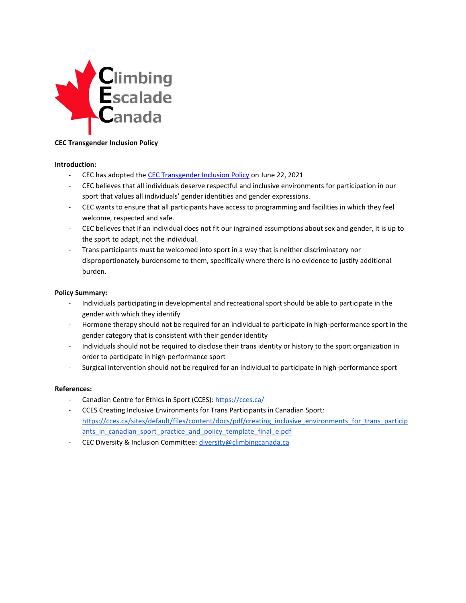

# **CEC Transgender Inclusion Policy**

### **Introduction:**

- CEC has adopted th[e CEC Transgender Inclusion Policy](https://www.climbingcanada.ca/wp-content/uploads/2021/06/CEC-SP-07-CEC-Transgender-Inclusion-Policy.pdf) on June 22, 2021
- CEC believes that all individuals deserve respectful and inclusive environments for participation in our sport that values all individuals' gender identities and gender expressions.
- CEC wants to ensure that all participants have access to programming and facilities in which they feel welcome, respected and safe.
- CEC believes that if an individual does not fit our ingrained assumptions about sex and gender, it is up to the sport to adapt, not the individual.
- Trans participants must be welcomed into sport in a way that is neither discriminatory nor disproportionately burdensome to them, specifically where there is no evidence to justify additional burden.

### **Policy Summary:**

- Individuals participating in developmental and recreational sport should be able to participate in the gender with which they identify
- Hormone therapy should not be required for an individual to participate in high-performance sport in the gender category that is consistent with their gender identity
- Individuals should not be required to disclose their trans identity or history to the sport organization in order to participate in high-performance sport
- Surgical intervention should not be required for an individual to participate in high-performance sport

## **References:**

- Canadian Centre for Ethics in Sport (CCES):<https://cces.ca/>
- CCES Creating Inclusive Environments for Trans Participants in Canadian Sport: [https://cces.ca/sites/default/files/content/docs/pdf/creating\\_inclusive\\_environments\\_for\\_trans\\_particip](https://cces.ca/sites/default/files/content/docs/pdf/creating_inclusive_environments_for_trans_participants_in_canadian_sport_practice_and_policy_template_final_e.pdf) ants in canadian sport practice and policy template final e.pdf
- CEC Diversity & Inclusion Committee[: diversity@climbingcanada.ca](mailto:diversity@climbingcanada.ca)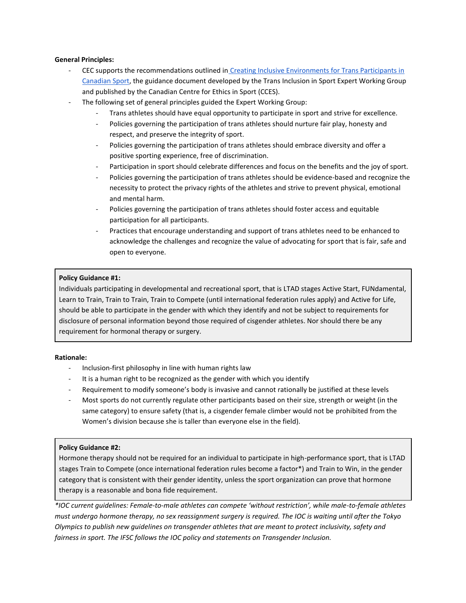### **General Principles:**

- CEC supports the recommendations outlined in [Creating Inclusive Environments for Trans Participants in](https://cces.ca/sites/default/files/content/docs/pdf/creating_inclusive_environments_for_trans_participants_in_canadian_sport_practice_and_policy_template_final_e.pdf)  [Canadian Sport,](https://cces.ca/sites/default/files/content/docs/pdf/creating_inclusive_environments_for_trans_participants_in_canadian_sport_practice_and_policy_template_final_e.pdf) the guidance document developed by the Trans Inclusion in Sport Expert Working Group and published by the Canadian Centre for Ethics in Sport (CCES).
- The following set of general principles guided the Expert Working Group:
	- Trans athletes should have equal opportunity to participate in sport and strive for excellence.
	- Policies governing the participation of trans athletes should nurture fair play, honesty and respect, and preserve the integrity of sport.
	- Policies governing the participation of trans athletes should embrace diversity and offer a positive sporting experience, free of discrimination.
	- Participation in sport should celebrate differences and focus on the benefits and the joy of sport.
	- Policies governing the participation of trans athletes should be evidence-based and recognize the necessity to protect the privacy rights of the athletes and strive to prevent physical, emotional and mental harm.
	- Policies governing the participation of trans athletes should foster access and equitable participation for all participants.
	- Practices that encourage understanding and support of trans athletes need to be enhanced to acknowledge the challenges and recognize the value of advocating for sport that is fair, safe and open to everyone.

## **Policy Guidance #1:**

Individuals participating in developmental and recreational sport, that is LTAD stages Active Start, FUNdamental, Learn to Train, Train to Train, Train to Compete (until international federation rules apply) and Active for Life, should be able to participate in the gender with which they identify and not be subject to requirements for disclosure of personal information beyond those required of cisgender athletes. Nor should there be any requirement for hormonal therapy or surgery.

#### **Rationale:**

- Inclusion-first philosophy in line with human rights law
- It is a human right to be recognized as the gender with which you identify
- Requirement to modify someone's body is invasive and cannot rationally be justified at these levels
- Most sports do not currently regulate other participants based on their size, strength or weight (in the same category) to ensure safety (that is, a cisgender female climber would not be prohibited from the Women's division because she is taller than everyone else in the field).

## **Policy Guidance #2:**

Hormone therapy should not be required for an individual to participate in high-performance sport, that is LTAD stages Train to Compete (once international federation rules become a factor\*) and Train to Win, in the gender category that is consistent with their gender identity, unless the sport organization can prove that hormone therapy is a reasonable and bona fide requirement.

*\*IOC current guidelines: Female-to-male athletes can compete 'without restriction', while male-to-female athletes must undergo hormone therapy, no sex reassignment surgery is required. The IOC is waiting until after the Tokyo Olympics to publish new guidelines on transgender athletes that are meant to protect inclusivity, safety and fairness in sport. The IFSC follows the IOC policy and statements on Transgender Inclusion.*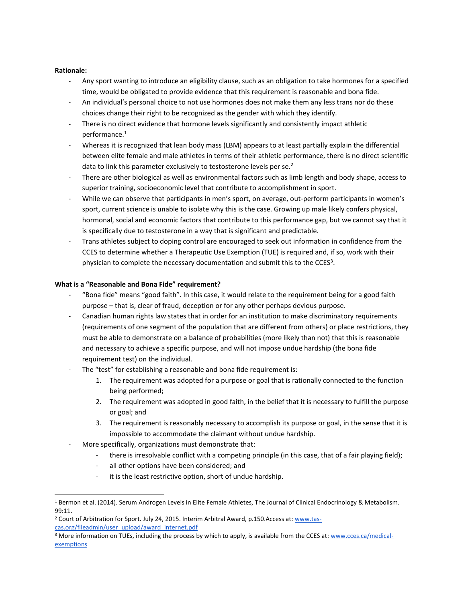### **Rationale:**

- Any sport wanting to introduce an eligibility clause, such as an obligation to take hormones for a specified time, would be obligated to provide evidence that this requirement is reasonable and bona fide.
- An individual's personal choice to not use hormones does not make them any less trans nor do these choices change their right to be recognized as the gender with which they identify.
- There is no direct evidence that hormone levels significantly and consistently impact athletic performance.<sup>1</sup>
- Whereas it is recognized that lean body mass (LBM) appears to at least partially explain the differential between elite female and male athletes in terms of their athletic performance, there is no direct scientific data to link this parameter exclusively to testosterone levels per se.<sup>2</sup>
- There are other biological as well as environmental factors such as limb length and body shape, access to superior training, socioeconomic level that contribute to accomplishment in sport.
- While we can observe that participants in men's sport, on average, out-perform participants in women's sport, current science is unable to isolate why this is the case. Growing up male likely confers physical, hormonal, social and economic factors that contribute to this performance gap, but we cannot say that it is specifically due to testosterone in a way that is significant and predictable.
- Trans athletes subject to doping control are encouraged to seek out information in confidence from the CCES to determine whether a Therapeutic Use Exemption (TUE) is required and, if so, work with their physician to complete the necessary documentation and submit this to the CCES<sup>3</sup>.

#### **What is a "Reasonable and Bona Fide" requirement?**

- "Bona fide" means "good faith". In this case, it would relate to the requirement being for a good faith purpose – that is, clear of fraud, deception or for any other perhaps devious purpose.
- Canadian human rights law states that in order for an institution to make discriminatory requirements (requirements of one segment of the population that are different from others) or place restrictions, they must be able to demonstrate on a balance of probabilities (more likely than not) that this is reasonable and necessary to achieve a specific purpose, and will not impose undue hardship (the bona fide requirement test) on the individual.
- The "test" for establishing a reasonable and bona fide requirement is:
	- 1. The requirement was adopted for a purpose or goal that is rationally connected to the function being performed;
	- 2. The requirement was adopted in good faith, in the belief that it is necessary to fulfill the purpose or goal; and
	- 3. The requirement is reasonably necessary to accomplish its purpose or goal, in the sense that it is impossible to accommodate the claimant without undue hardship.
- More specifically, organizations must demonstrate that:
	- there is irresolvable conflict with a competing principle (in this case, that of a fair playing field);
	- all other options have been considered; and
	- it is the least restrictive option, short of undue hardship.

<sup>&</sup>lt;sup>1</sup> Bermon et al. (2014). Serum Androgen Levels in Elite Female Athletes, The Journal of Clinical Endocrinology & Metabolism. 99:11.

<sup>2</sup> Court of Arbitration for Sport. July 24, 2015. Interim Arbitral Award, p.150.Access at[: www.tas](http://www.tas-cas.org/fileadmin/user_upload/award_internet.pdf)[cas.org/fileadmin/user\\_upload/award\\_internet.pdf](http://www.tas-cas.org/fileadmin/user_upload/award_internet.pdf)

<sup>&</sup>lt;sup>3</sup> More information on TUEs, including the process by which to apply, is available from the CCES at[: www.cces.ca/medical](http://www.cces.ca/medical-exemptions)**[exemptions](http://www.cces.ca/medical-exemptions)**